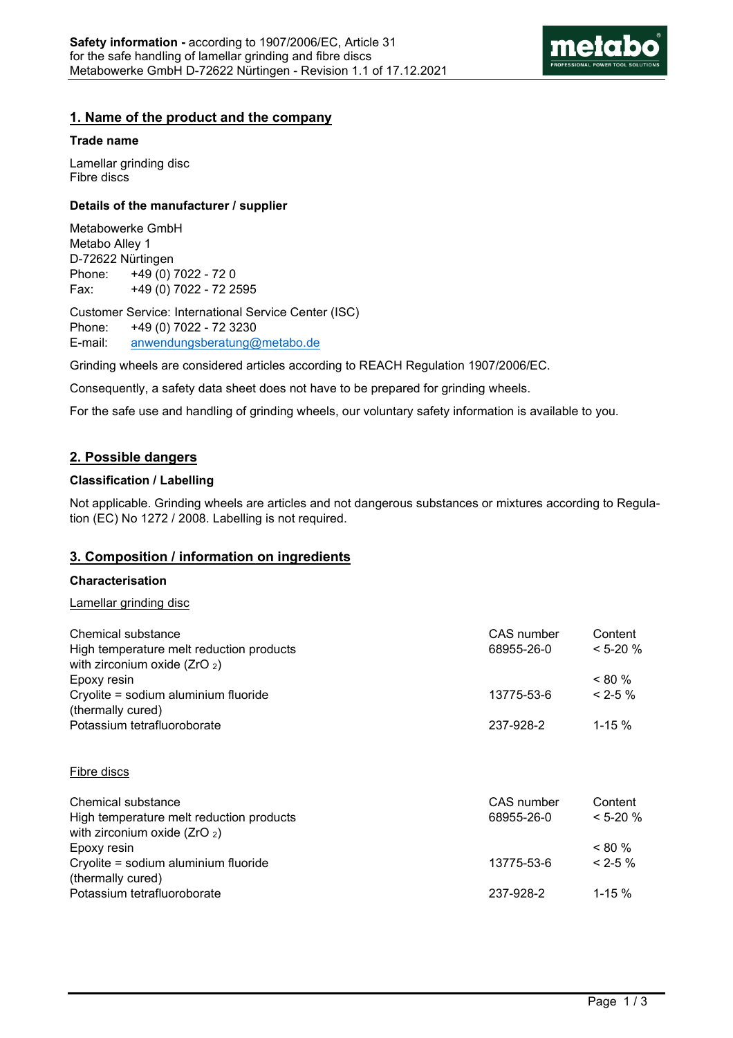

## **1. Name of the product and the company**

#### **Trade name**

Lamellar grinding disc Fibre discs

#### **Details of the manufacturer / supplier**

Metabowerke GmbH Metabo Alley 1 D-72622 Nürtingen Phone: +49 (0) 7022 - 72 0 Fax: +49 (0) 7022 - 72 2595

Customer Service: International Service Center (ISC) Phone: +49 (0) 7022 - 72 3230 E-mail: anwendungsberatung@metabo.de

Grinding wheels are considered articles according to REACH Regulation 1907/2006/EC.

Consequently, a safety data sheet does not have to be prepared for grinding wheels.

For the safe use and handling of grinding wheels, our voluntary safety information is available to you.

## **2. Possible dangers**

### **Classification / Labelling**

Not applicable. Grinding wheels are articles and not dangerous substances or mixtures according to Regulation (EC) No 1272 / 2008. Labelling is not required.

## **3. Composition / information on ingredients**

#### **Characterisation**

### Lamellar grinding disc

| Chemical substance<br>High temperature melt reduction products<br>with zirconium oxide $(ZrO_2)$ | CAS number<br>68955-26-0 | Content<br>$< 5-20 \%$ |
|--------------------------------------------------------------------------------------------------|--------------------------|------------------------|
| Epoxy resin                                                                                      |                          | $< 80 \%$              |
| Cryolite = sodium aluminium fluoride<br>(thermally cured)                                        | 13775-53-6               | $<$ 2-5 %              |
| Potassium tetrafluoroborate                                                                      | 237-928-2                | $1 - 15%$              |
| Fibre discs                                                                                      |                          |                        |
| Chemical substance                                                                               | CAS number               | Content                |
| High temperature melt reduction products<br>with zirconium oxide $(ZrO_2)$                       | 68955-26-0               | $< 5-20 \%$            |
| Epoxy resin                                                                                      |                          | $< 80 \%$              |
| Cryolite = sodium aluminium fluoride<br>(thermally cured)                                        | 13775-53-6               | $<$ 2-5 %              |
| Potassium tetrafluoroborate                                                                      | 237-928-2                | $1 - 15%$              |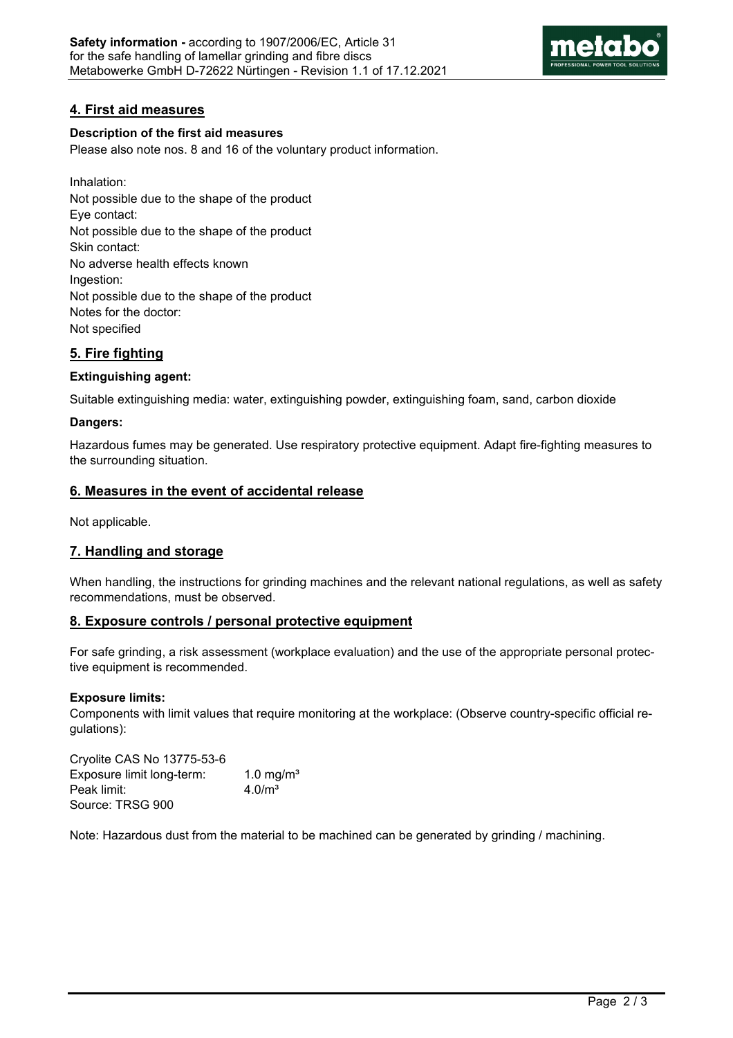

# **4. First aid measures**

### **Description of the first aid measures**

Please also note nos. 8 and 16 of the voluntary product information.

Inhalation: Not possible due to the shape of the product Eye contact: Not possible due to the shape of the product Skin contact: No adverse health effects known Ingestion: Not possible due to the shape of the product Notes for the doctor: Not specified

## **5. Fire fighting**

## **Extinguishing agent:**

Suitable extinguishing media: water, extinguishing powder, extinguishing foam, sand, carbon dioxide

### **Dangers:**

Hazardous fumes may be generated. Use respiratory protective equipment. Adapt fire-fighting measures to the surrounding situation.

## **6. Measures in the event of accidental release**

Not applicable.

## **7. Handling and storage**

When handling, the instructions for grinding machines and the relevant national regulations, as well as safety recommendations, must be observed.

## **8. Exposure controls / personal protective equipment**

For safe grinding, a risk assessment (workplace evaluation) and the use of the appropriate personal protective equipment is recommended.

### **Exposure limits:**

Components with limit values that require monitoring at the workplace: (Observe country-specific official regulations):

Cryolite CAS No 13775-53-6 Exposure limit long-term: 1.0 mg/m<sup>3</sup> Peak limit: 4.0/m<sup>3</sup> Source: TRSG 900

Note: Hazardous dust from the material to be machined can be generated by grinding / machining.